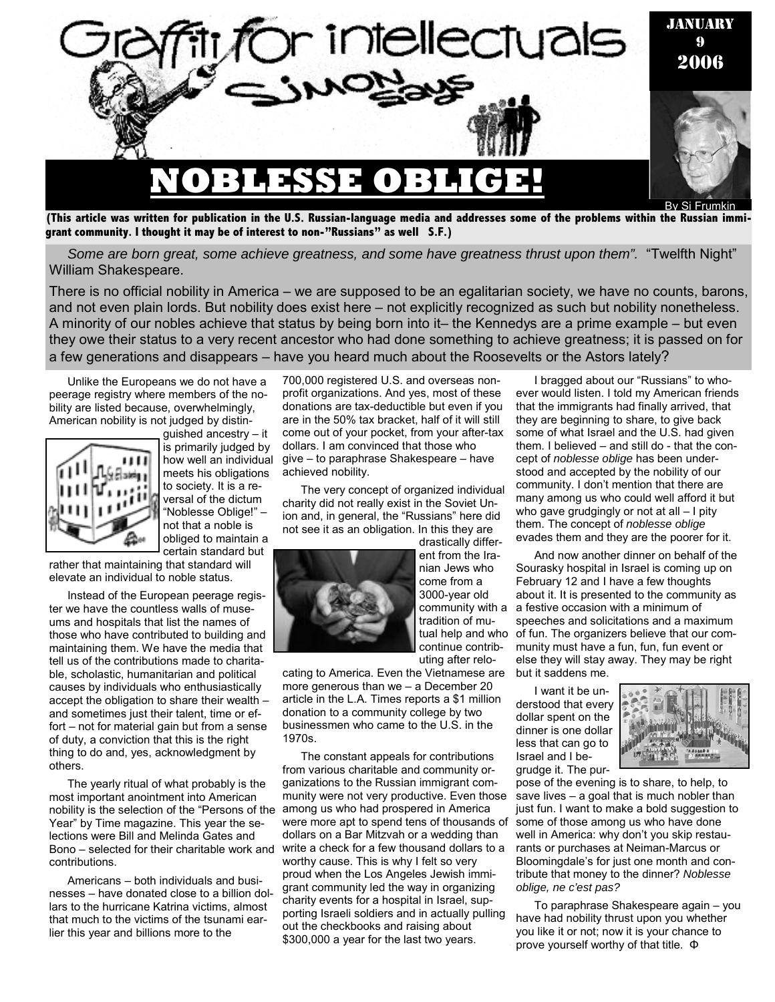

**(This article was written for publication in the U.S. Russian-language media and addresses some of the problems within the Russian immigrant community. I thought it may be of interest to non-"Russians" as well S.F.)** 

*Some are born great, some achieve greatness, and some have greatness thrust upon them".* "Twelfth Night" William Shakespeare.

There is no official nobility in America – we are supposed to be an egalitarian society, we have no counts, barons, and not even plain lords. But nobility does exist here – not explicitly recognized as such but nobility nonetheless. A minority of our nobles achieve that status by being born into it– the Kennedys are a prime example – but even they owe their status to a very recent ancestor who had done something to achieve greatness; it is passed on for a few generations and disappears – have you heard much about the Roosevelts or the Astors lately?

Unlike the Europeans we do not have a peerage registry where members of the nobility are listed because, overwhelmingly, American nobility is not judged by distin-



guished ancestry – it is primarily judged by how well an individual meets his obligations to society. It is a reversal of the dictum "Noblesse Oblige!" – not that a noble is obliged to maintain a certain standard but

rather that maintaining that standard will elevate an individual to noble status.

Instead of the European peerage register we have the countless walls of museums and hospitals that list the names of those who have contributed to building and maintaining them. We have the media that tell us of the contributions made to charitable, scholastic, humanitarian and political causes by individuals who enthusiastically accept the obligation to share their wealth – and sometimes just their talent, time or effort – not for material gain but from a sense of duty, a conviction that this is the right thing to do and, yes, acknowledgment by others.

The yearly ritual of what probably is the most important anointment into American nobility is the selection of the "Persons of the among us who had prospered in America Year" by Time magazine. This year the selections were Bill and Melinda Gates and Bono – selected for their charitable work and contributions.

Americans – both individuals and businesses – have donated close to a billion dollars to the hurricane Katrina victims, almost that much to the victims of the tsunami earlier this year and billions more to the

700,000 registered U.S. and overseas nonprofit organizations. And yes, most of these donations are tax-deductible but even if you are in the 50% tax bracket, half of it will still come out of your pocket, from your after-tax dollars. I am convinced that those who give – to paraphrase Shakespeare – have achieved nobility.

The very concept of organized individual charity did not really exist in the Soviet Union and, in general, the "Russians" here did not see it as an obligation. In this they are



drastically different from the Iranian Jews who come from a 3000-year old community with a tradition of mutual help and who continue contributing after relo-

cating to America. Even the Vietnamese are more generous than we – a December 20 article in the L.A. Times reports a \$1 million donation to a community college by two businessmen who came to the U.S. in the 1970s.

The constant appeals for contributions from various charitable and community organizations to the Russian immigrant community were not very productive. Even those were more apt to spend tens of thousands of dollars on a Bar Mitzvah or a wedding than write a check for a few thousand dollars to a worthy cause. This is why I felt so very proud when the Los Angeles Jewish immigrant community led the way in organizing charity events for a hospital in Israel, supporting Israeli soldiers and in actually pulling out the checkbooks and raising about \$300,000 a year for the last two years.

I bragged about our "Russians" to whoever would listen. I told my American friends that the immigrants had finally arrived, that they are beginning to share, to give back some of what Israel and the U.S. had given them. I believed – and still do - that the concept of *noblesse oblige* has been understood and accepted by the nobility of our community. I don't mention that there are many among us who could well afford it but who gave grudgingly or not at all - I pity them. The concept of *noblesse oblige*  evades them and they are the poorer for it.

And now another dinner on behalf of the Sourasky hospital in Israel is coming up on February 12 and I have a few thoughts about it. It is presented to the community as a festive occasion with a minimum of speeches and solicitations and a maximum of fun. The organizers believe that our community must have a fun, fun, fun event or else they will stay away. They may be right but it saddens me.

I want it be understood that every dollar spent on the dinner is one dollar less that can go to Israel and I begrudge it. The pur-



To paraphrase Shakespeare again – you have had nobility thrust upon you whether you like it or not; now it is your chance to prove yourself worthy of that title. Φ

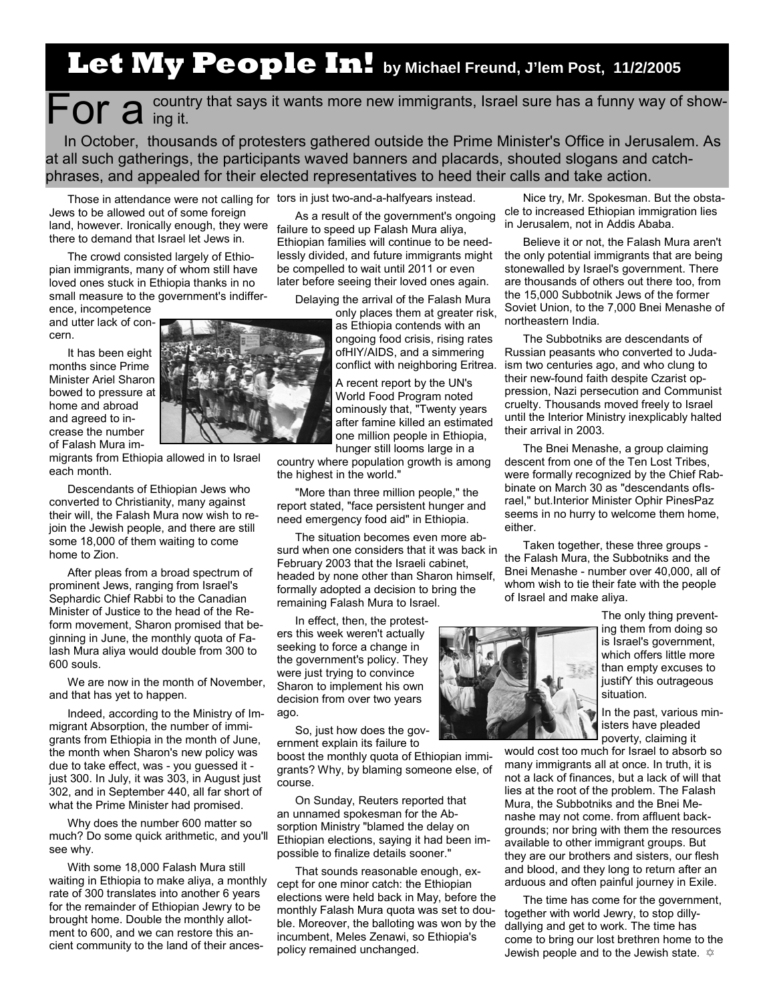## **Let My People In! by Michael Freund, J'lem Post, 11/2/2005**

For a country that says it wants more new immigrants, Israel sure has a funny way of show-<br>For a ing it.

In October, thousands of protesters gathered outside the Prime Minister's Office in Jerusalem. As at all such gatherings, the participants waved banners and placards, shouted slogans and catchphrases, and appealed for their elected representatives to heed their calls and take action.

Those in attendance were not calling for tors in just two-and-a-halfyears instead.

Jews to be allowed out of some foreign land, however. Ironically enough, they were there to demand that Israel let Jews in.

The crowd consisted largely of Ethiopian immigrants, many of whom still have loved ones stuck in Ethiopia thanks in no small measure to the government's indiffer-

ence, incompetence and utter lack of concern.

It has been eight months since Prime Minister Ariel Sharon bowed to pressure at home and abroad and agreed to increase the number of Falash Mura im-

migrants from Ethiopia allowed in to Israel each month.

Descendants of Ethiopian Jews who converted to Christianity, many against their will, the Falash Mura now wish to rejoin the Jewish people, and there are still some 18,000 of them waiting to come home to Zion.

After pleas from a broad spectrum of prominent Jews, ranging from Israel's Sephardic Chief Rabbi to the Canadian Minister of Justice to the head of the Reform movement, Sharon promised that beginning in June, the monthly quota of Falash Mura aliya would double from 300 to 600 souls.

We are now in the month of November. and that has yet to happen.

Indeed, according to the Ministry of Immigrant Absorption, the number of immigrants from Ethiopia in the month of June, the month when Sharon's new policy was due to take effect, was - you guessed it just 300. In July, it was 303, in August just 302, and in September 440, all far short of what the Prime Minister had promised.

Why does the number 600 matter so much? Do some quick arithmetic, and you'll see why.

With some 18,000 Falash Mura still waiting in Ethiopia to make aliya, a monthly rate of 300 translates into another 6 years for the remainder of Ethiopian Jewry to be brought home. Double the monthly allotment to 600, and we can restore this ancient community to the land of their ances-

As a result of the government's ongoing failure to speed up Falash Mura aliya, Ethiopian families will continue to be needlessly divided, and future immigrants might be compelled to wait until 2011 or even later before seeing their loved ones again.

Delaying the arrival of the Falash Mura

only places them at greater risk, as Ethiopia contends with an ongoing food crisis, rising rates ofHIY/AIDS, and a simmering conflict with neighboring Eritrea.

A recent report by the UN's World Food Program noted ominously that, "Twenty years after famine killed an estimated one million people in Ethiopia, hunger still looms large in a

country where population growth is among the highest in the world."

"More than three million people," the report stated, "face persistent hunger and need emergency food aid" in Ethiopia.

The situation becomes even more absurd when one considers that it was back in February 2003 that the Israeli cabinet, headed by none other than Sharon himself, formally adopted a decision to bring the remaining Falash Mura to Israel.

In effect, then, the protesters this week weren't actually seeking to force a change in the government's policy. They were just trying to convince Sharon to implement his own decision from over two years ago.

So, just how does the government explain its failure to boost the monthly quota of Ethiopian immi-

grants? Why, by blaming someone else, of course.

On Sunday, Reuters reported that an unnamed spokesman for the Absorption Ministry "blamed the delay on Ethiopian elections, saying it had been impossible to finalize details sooner."

That sounds reasonable enough, except for one minor catch: the Ethiopian elections were held back in May, before the monthly Falash Mura quota was set to double. Moreover, the balloting was won by the incumbent, Meles Zenawi, so Ethiopia's policy remained unchanged.

Nice try, Mr. Spokesman. But the obstacle to increased Ethiopian immigration lies in Jerusalem, not in Addis Ababa.

Believe it or not, the Falash Mura aren't the only potential immigrants that are being stonewalled by Israel's government. There are thousands of others out there too, from the 15,000 Subbotnik Jews of the former Soviet Union, to the 7,000 Bnei Menashe of northeastern India.

The Subbotniks are descendants of Russian peasants who converted to Judaism two centuries ago, and who clung to their new-found faith despite Czarist oppression, Nazi persecution and Communist cruelty. Thousands moved freely to Israel until the Interior Ministry inexplicably halted their arrival in 2003.

The Bnei Menashe, a group claiming descent from one of the Ten Lost Tribes, were formally recognized by the Chief Rabbinate on March 30 as "descendants ofIsrael," but.Interior Minister Ophir PinesPaz seems in no hurry to welcome them home, either.

Taken together, these three groups the Falash Mura, the Subbotniks and the Bnei Menashe - number over 40,000, all of whom wish to tie their fate with the people of Israel and make aliya.



The only thing preventing them from doing so is Israel's government, which offers little more than empty excuses to justifY this outrageous situation.

In the past, various ministers have pleaded poverty, claiming it

would cost too much for Israel to absorb so many immigrants all at once. In truth, it is not a lack of finances, but a lack of will that lies at the root of the problem. The Falash Mura, the Subbotniks and the Bnei Menashe may not come. from affluent backgrounds; nor bring with them the resources available to other immigrant groups. But they are our brothers and sisters, our flesh and blood, and they long to return after an arduous and often painful journey in Exile.

The time has come for the government, together with world Jewry, to stop dillydallying and get to work. The time has come to bring our lost brethren home to the Jewish people and to the Jewish state.  $\hat{\varphi}$ 



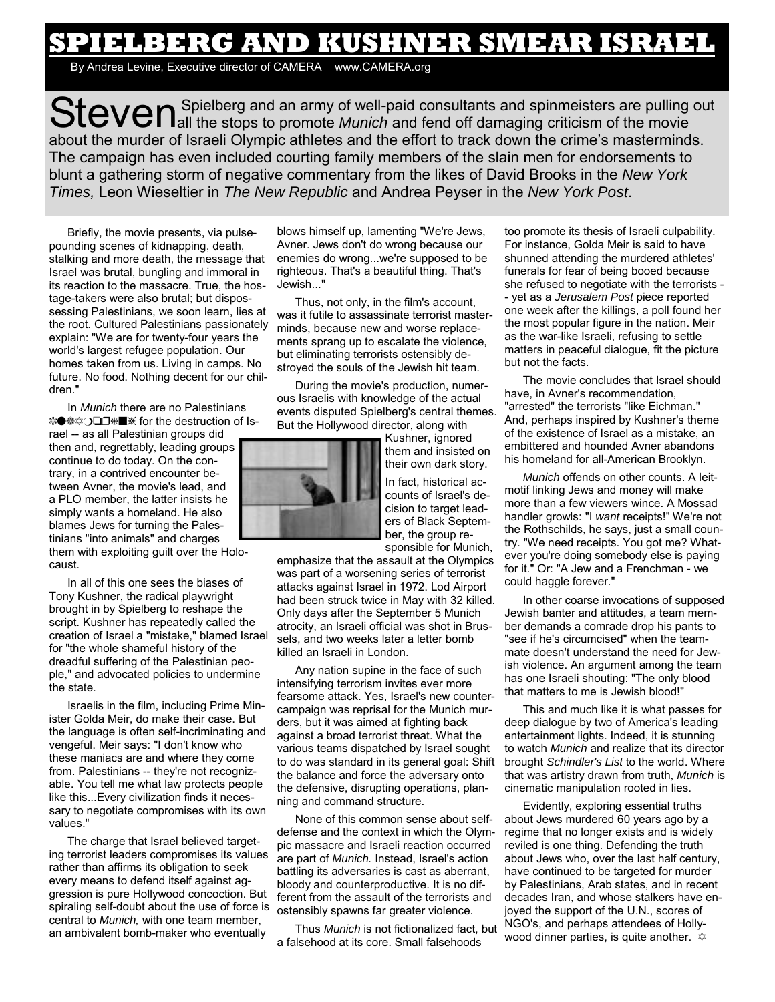## **SPIELBERG AND KUSHNER SMEAR ISRAEL**

By Andrea Levine, Executive director of CAMERA www.CAMERA.org

Steven Spielberg and an army of well-paid consultants and spinmeisters are pulling out Steven and tend off damaging criticism of the movie about the murder of Israeli Olympic athletes and the effort to track down the crime's masterminds. The campaign has even included courting family members of the slain men for endorsements to blunt a gathering storm of negative commentary from the likes of David Brooks in the *New York Times,* Leon Wieseltier in *The New Republic* and Andrea Peyser in the *New York Post*.

Briefly, the movie presents, via pulsepounding scenes of kidnapping, death, stalking and more death, the message that Israel was brutal, bungling and immoral in its reaction to the massacre. True, the hostage-takers were also brutal; but dispossessing Palestinians, we soon learn, lies at the root. Cultured Palestinians passionately explain: "We are for twenty-four years the world's largest refugee population. Our homes taken from us. Living in camps. No future. No food. Nothing decent for our children."

In *Munich* there are no Palestinians \*<sup>●</sup>\*○□□ **#** \* for the destruction of Israel -- as all Palestinian groups did then and, regrettably, leading groups continue to do today. On the contrary, in a contrived encounter between Avner, the movie's lead, and a PLO member, the latter insists he simply wants a homeland. He also blames Jews for turning the Palestinians "into animals" and charges them with exploiting guilt over the Holocaust.

In all of this one sees the biases of Tony Kushner, the radical playwright brought in by Spielberg to reshape the script. Kushner has repeatedly called the creation of Israel a "mistake," blamed Israel for "the whole shameful history of the dreadful suffering of the Palestinian people," and advocated policies to undermine the state.

Israelis in the film, including Prime Minister Golda Meir, do make their case. But the language is often self-incriminating and vengeful. Meir says: "I don't know who these maniacs are and where they come from. Palestinians -- they're not recognizable. You tell me what law protects people like this...Every civilization finds it necessary to negotiate compromises with its own values."

The charge that Israel believed targeting terrorist leaders compromises its values rather than affirms its obligation to seek every means to defend itself against aggression is pure Hollywood concoction. But spiraling self-doubt about the use of force is central to *Munich,* with one team member, an ambivalent bomb-maker who eventually

blows himself up, lamenting "We're Jews, Avner. Jews don't do wrong because our enemies do wrong...we're supposed to be righteous. That's a beautiful thing. That's Jewish..."

Thus, not only, in the film's account, was it futile to assassinate terrorist masterminds, because new and worse replacements sprang up to escalate the violence, but eliminating terrorists ostensibly destroyed the souls of the Jewish hit team.

During the movie's production, numerous Israelis with knowledge of the actual events disputed Spielberg's central themes. But the Hollywood director, along with



Kushner, ignored them and insisted on their own dark story.

In fact, historical accounts of Israel's decision to target leaders of Black September, the group responsible for Munich,

emphasize that the assault at the Olympics was part of a worsening series of terrorist attacks against Israel in 1972. Lod Airport had been struck twice in May with 32 killed. Only days after the September 5 Munich atrocity, an Israeli official was shot in Brussels, and two weeks later a letter bomb killed an Israeli in London.

Any nation supine in the face of such intensifying terrorism invites ever more fearsome attack. Yes, Israel's new countercampaign was reprisal for the Munich murders, but it was aimed at fighting back against a broad terrorist threat. What the various teams dispatched by Israel sought to do was standard in its general goal: Shift the balance and force the adversary onto the defensive, disrupting operations, planning and command structure.

None of this common sense about selfdefense and the context in which the Olympic massacre and Israeli reaction occurred are part of *Munich.* Instead, Israel's action battling its adversaries is cast as aberrant, bloody and counterproductive. It is no different from the assault of the terrorists and ostensibly spawns far greater violence.

Thus *Munich* is not fictionalized fact, but a falsehood at its core. Small falsehoods

too promote its thesis of Israeli culpability. For instance, Golda Meir is said to have shunned attending the murdered athletes' funerals for fear of being booed because she refused to negotiate with the terrorists - - yet as a *Jerusalem Post* piece reported one week after the killings, a poll found her the most popular figure in the nation. Meir as the war-like Israeli, refusing to settle matters in peaceful dialogue, fit the picture but not the facts.

The movie concludes that Israel should have, in Avner's recommendation, "arrested" the terrorists "like Eichman." And, perhaps inspired by Kushner's theme of the existence of Israel as a mistake, an embittered and hounded Avner abandons his homeland for all-American Brooklyn.

*Munich* offends on other counts. A leitmotif linking Jews and money will make more than a few viewers wince. A Mossad handler growls: "I *want* receipts!" We're not the Rothschilds, he says, just a small country. "We need receipts. You got me? Whatever you're doing somebody else is paying for it." Or: "A Jew and a Frenchman - we could haggle forever."

In other coarse invocations of supposed Jewish banter and attitudes, a team member demands a comrade drop his pants to "see if he's circumcised" when the teammate doesn't understand the need for Jewish violence. An argument among the team has one Israeli shouting: "The only blood that matters to me is Jewish blood!"

This and much like it is what passes for deep dialogue by two of America's leading entertainment lights. Indeed, it is stunning to watch *Munich* and realize that its director brought *Schindler's List* to the world. Where that was artistry drawn from truth, *Munich* is cinematic manipulation rooted in lies.

Evidently, exploring essential truths about Jews murdered 60 years ago by a regime that no longer exists and is widely reviled is one thing. Defending the truth about Jews who, over the last half century, have continued to be targeted for murder by Palestinians, Arab states, and in recent decades Iran, and whose stalkers have enjoyed the support of the U.N., scores of NGO's, and perhaps attendees of Hollywood dinner parties, is quite another.  $\hat{\varphi}$